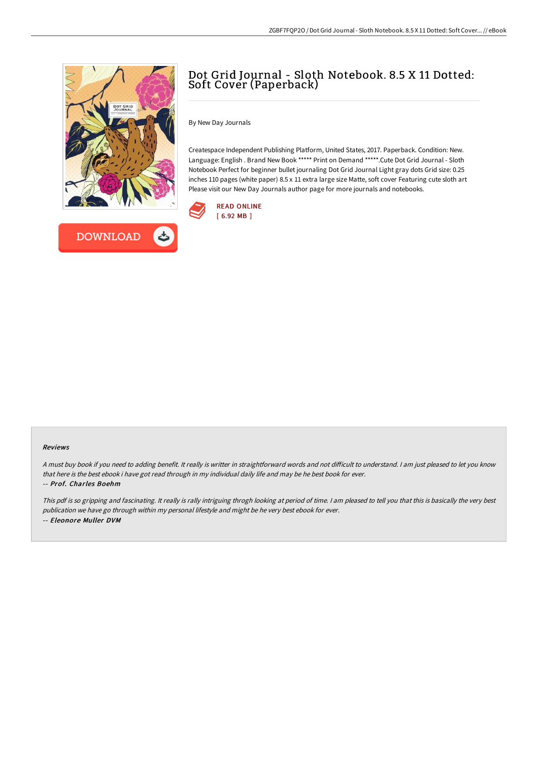



# Dot Grid Journal - Sloth Notebook. 8.5 X 11 Dotted: Soft Cover (Paperback)

By New Day Journals

Createspace Independent Publishing Platform, United States, 2017. Paperback. Condition: New. Language: English . Brand New Book \*\*\*\*\* Print on Demand \*\*\*\*\*.Cute Dot Grid Journal - Sloth Notebook Perfect for beginner bullet journaling Dot Grid Journal Light gray dots Grid size: 0.25 inches 110 pages (white paper) 8.5 x 11 extra large size Matte, soft cover Featuring cute sloth art Please visit our New Day Journals author page for more journals and notebooks.



#### Reviews

A must buy book if you need to adding benefit. It really is writter in straightforward words and not difficult to understand. I am just pleased to let you know that here is the best ebook i have got read through in my individual daily life and may be he best book for ever. -- Prof. Charles Boehm

This pdf is so gripping and fascinating. It really is rally intriguing throgh looking at period of time. <sup>I</sup> am pleased to tell you that this is basically the very best publication we have go through within my personal lifestyle and might be he very best ebook for ever. -- Eleonore Muller DVM